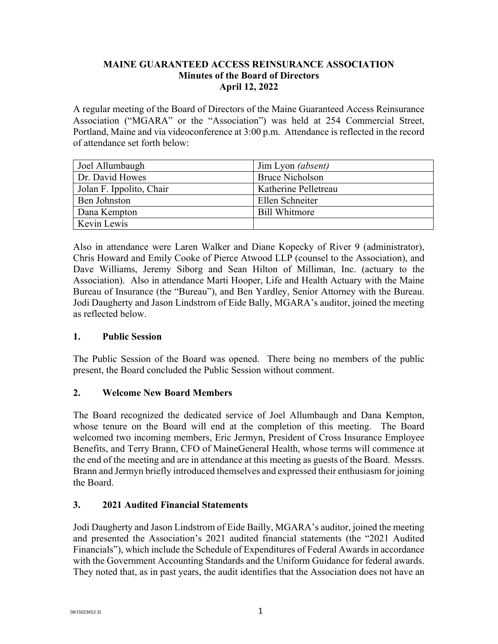#### **MAINE GUARANTEED ACCESS REINSURANCE ASSOCIATION Minutes of the Board of Directors April 12, 2022**

A regular meeting of the Board of Directors of the Maine Guaranteed Access Reinsurance Association ("MGARA" or the "Association") was held at 254 Commercial Street, Portland, Maine and via videoconference at 3:00 p.m. Attendance is reflected in the record of attendance set forth below:

| Joel Allumbaugh          | Jim Lyon (absent)      |
|--------------------------|------------------------|
| Dr. David Howes          | <b>Bruce Nicholson</b> |
| Jolan F. Ippolito, Chair | Katherine Pelletreau   |
| <b>Ben Johnston</b>      | Ellen Schneiter        |
| Dana Kempton             | <b>Bill Whitmore</b>   |
| Kevin Lewis              |                        |

Also in attendance were Laren Walker and Diane Kopecky of River 9 (administrator), Chris Howard and Emily Cooke of Pierce Atwood LLP (counsel to the Association), and Dave Williams, Jeremy Siborg and Sean Hilton of Milliman, Inc. (actuary to the Association). Also in attendance Marti Hooper, Life and Health Actuary with the Maine Bureau of Insurance (the "Bureau"), and Ben Yardley, Senior Attorney with the Bureau. Jodi Daugherty and Jason Lindstrom of Eide Bally, MGARA's auditor, joined the meeting as reflected below.

## **1. Public Session**

The Public Session of the Board was opened. There being no members of the public present, the Board concluded the Public Session without comment.

## **2. Welcome New Board Members**

The Board recognized the dedicated service of Joel Allumbaugh and Dana Kempton, whose tenure on the Board will end at the completion of this meeting. The Board welcomed two incoming members, Eric Jermyn, President of Cross Insurance Employee Benefits, and Terry Brann, CFO of MaineGeneral Health, whose terms will commence at the end of the meeting and are in attendance at this meeting as guests of the Board. Messrs. Brann and Jermyn briefly introduced themselves and expressed their enthusiasm for joining the Board.

## **3. 2021 Audited Financial Statements**

Jodi Daugherty and Jason Lindstrom of Eide Bailly, MGARA's auditor, joined the meeting and presented the Association's 2021 audited financial statements (the "2021 Audited Financials"), which include the Schedule of Expenditures of Federal Awards in accordance with the Government Accounting Standards and the Uniform Guidance for federal awards. They noted that, as in past years, the audit identifies that the Association does not have an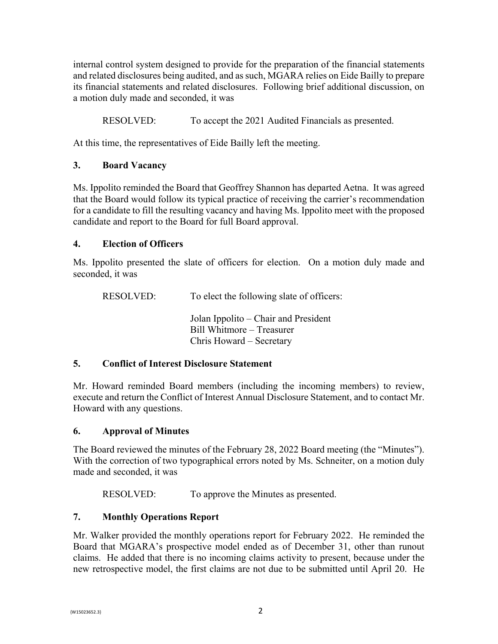internal control system designed to provide for the preparation of the financial statements and related disclosures being audited, and as such, MGARA relies on Eide Bailly to prepare its financial statements and related disclosures. Following brief additional discussion, on a motion duly made and seconded, it was

RESOLVED: To accept the 2021 Audited Financials as presented.

At this time, the representatives of Eide Bailly left the meeting.

# **3. Board Vacancy**

Ms. Ippolito reminded the Board that Geoffrey Shannon has departed Aetna. It was agreed that the Board would follow its typical practice of receiving the carrier's recommendation for a candidate to fill the resulting vacancy and having Ms. Ippolito meet with the proposed candidate and report to the Board for full Board approval.

## **4. Election of Officers**

Ms. Ippolito presented the slate of officers for election. On a motion duly made and seconded, it was

RESOLVED: To elect the following slate of officers:

 Jolan Ippolito – Chair and President Bill Whitmore – Treasurer Chris Howard – Secretary

## **5. Conflict of Interest Disclosure Statement**

Mr. Howard reminded Board members (including the incoming members) to review, execute and return the Conflict of Interest Annual Disclosure Statement, and to contact Mr. Howard with any questions.

## **6. Approval of Minutes**

The Board reviewed the minutes of the February 28, 2022 Board meeting (the "Minutes"). With the correction of two typographical errors noted by Ms. Schneiter, on a motion duly made and seconded, it was

RESOLVED: To approve the Minutes as presented.

## **7. Monthly Operations Report**

Mr. Walker provided the monthly operations report for February 2022. He reminded the Board that MGARA's prospective model ended as of December 31, other than runout claims. He added that there is no incoming claims activity to present, because under the new retrospective model, the first claims are not due to be submitted until April 20. He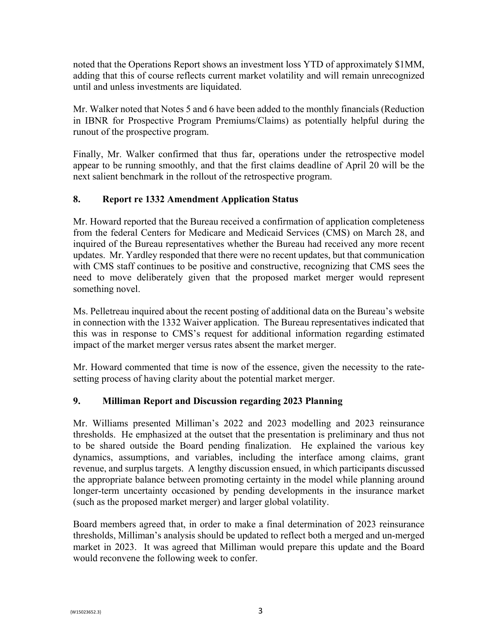noted that the Operations Report shows an investment loss YTD of approximately \$1MM, adding that this of course reflects current market volatility and will remain unrecognized until and unless investments are liquidated.

Mr. Walker noted that Notes 5 and 6 have been added to the monthly financials (Reduction in IBNR for Prospective Program Premiums/Claims) as potentially helpful during the runout of the prospective program.

Finally, Mr. Walker confirmed that thus far, operations under the retrospective model appear to be running smoothly, and that the first claims deadline of April 20 will be the next salient benchmark in the rollout of the retrospective program.

# **8. Report re 1332 Amendment Application Status**

Mr. Howard reported that the Bureau received a confirmation of application completeness from the federal Centers for Medicare and Medicaid Services (CMS) on March 28, and inquired of the Bureau representatives whether the Bureau had received any more recent updates. Mr. Yardley responded that there were no recent updates, but that communication with CMS staff continues to be positive and constructive, recognizing that CMS sees the need to move deliberately given that the proposed market merger would represent something novel.

Ms. Pelletreau inquired about the recent posting of additional data on the Bureau's website in connection with the 1332 Waiver application. The Bureau representatives indicated that this was in response to CMS's request for additional information regarding estimated impact of the market merger versus rates absent the market merger.

Mr. Howard commented that time is now of the essence, given the necessity to the ratesetting process of having clarity about the potential market merger.

## **9. Milliman Report and Discussion regarding 2023 Planning**

Mr. Williams presented Milliman's 2022 and 2023 modelling and 2023 reinsurance thresholds. He emphasized at the outset that the presentation is preliminary and thus not to be shared outside the Board pending finalization. He explained the various key dynamics, assumptions, and variables, including the interface among claims, grant revenue, and surplus targets. A lengthy discussion ensued, in which participants discussed the appropriate balance between promoting certainty in the model while planning around longer-term uncertainty occasioned by pending developments in the insurance market (such as the proposed market merger) and larger global volatility.

Board members agreed that, in order to make a final determination of 2023 reinsurance thresholds, Milliman's analysis should be updated to reflect both a merged and un-merged market in 2023. It was agreed that Milliman would prepare this update and the Board would reconvene the following week to confer.